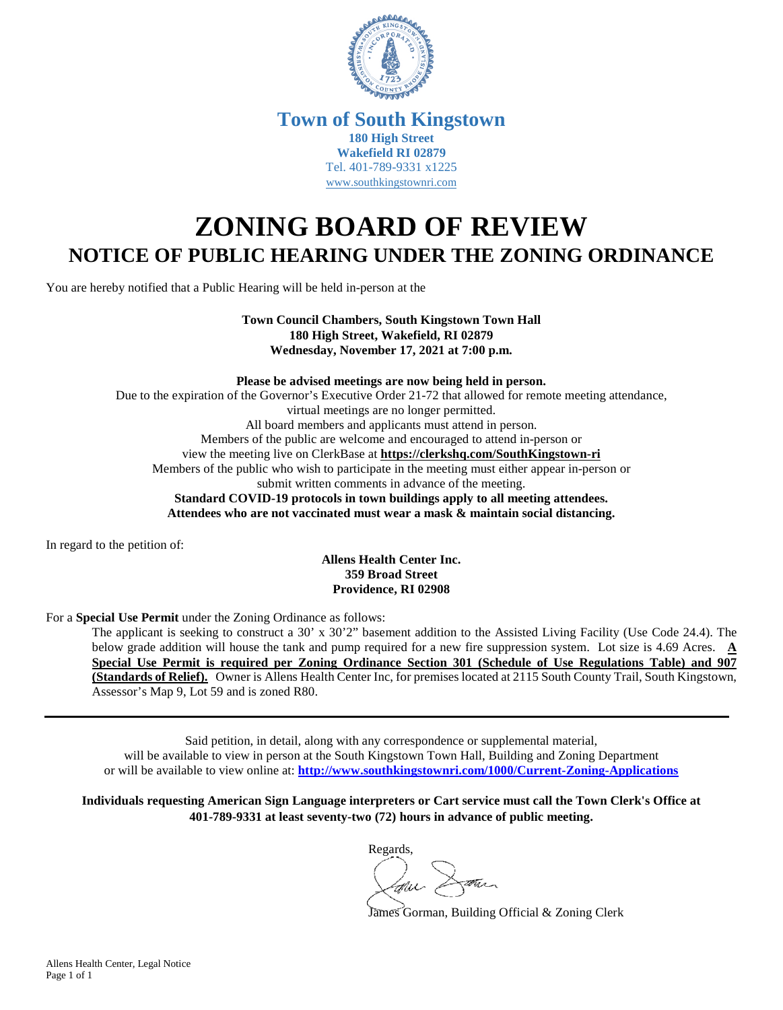

## **Town of South Kingstown 180 High Street Wakefield RI 02879** Tel. 401-789-9331 x1225 [www.southkingstownri.com](http://www.southkingstownri.com/)

# **ZONING BOARD OF REVIEW NOTICE OF PUBLIC HEARING UNDER THE ZONING ORDINANCE**

You are hereby notified that a Public Hearing will be held in-person at the

**Town Council Chambers, South Kingstown Town Hall 180 High Street, Wakefield, RI 02879 Wednesday, November 17, 2021 at 7:00 p.m.** 

**Please be advised meetings are now being held in person.**  Due to the expiration of the Governor's Executive Order 21-72 that allowed for remote meeting attendance, virtual meetings are no longer permitted. All board members and applicants must attend in person. Members of the public are welcome and encouraged to attend in-person or view the meeting live on ClerkBase at **<https://clerkshq.com/SouthKingstown-ri>** Members of the public who wish to participate in the meeting must either appear in-person or submit written comments in advance of the meeting. **Standard COVID-19 protocols in town buildings apply to all meeting attendees. Attendees who are not vaccinated must wear a mask & maintain social distancing.** 

In regard to the petition of:

#### **Allens Health Center Inc. 359 Broad Street Providence, RI 02908**

For a **Special Use Permit** under the Zoning Ordinance as follows:

The applicant is seeking to construct a 30' x 30'2" basement addition to the Assisted Living Facility (Use Code 24.4). The below grade addition will house the tank and pump required for a new fire suppression system. Lot size is 4.69 Acres. **A Special Use Permit is required per Zoning Ordinance Section 301 (Schedule of Use Regulations Table) and 907 (Standards of Relief).** Owner is Allens Health Center Inc, for premises located at 2115 South County Trail, South Kingstown, Assessor's Map 9, Lot 59 and is zoned R80.

Said petition, in detail, along with any correspondence or supplemental material, will be available to view in person at the South Kingstown Town Hall, Building and Zoning Department or will be available to view online at: **<http://www.southkingstownri.com/1000/Current-Zoning-Applications>**

**Individuals requesting American Sign Language interpreters or Cart service must call the Town Clerk's Office at 401-789-9331 at least seventy-two (72) hours in advance of public meeting.** 

Regards,

James Gorman, Building Official & Zoning Clerk